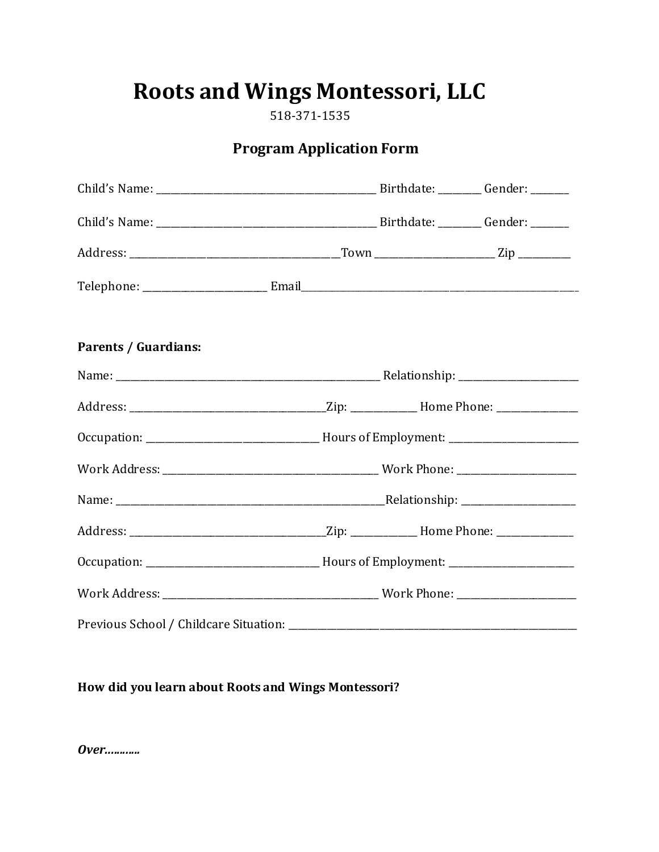# Roots and Wings Montessori, LLC

518-371-1535

# **Program Application Form**

| <b>Parents / Guardians:</b> |                                                                                         |                                                                                   |  |  |  |
|-----------------------------|-----------------------------------------------------------------------------------------|-----------------------------------------------------------------------------------|--|--|--|
|                             |                                                                                         |                                                                                   |  |  |  |
|                             |                                                                                         |                                                                                   |  |  |  |
|                             | Occupation: __________________________________Hours of Employment: ____________________ |                                                                                   |  |  |  |
|                             |                                                                                         |                                                                                   |  |  |  |
|                             |                                                                                         |                                                                                   |  |  |  |
|                             |                                                                                         |                                                                                   |  |  |  |
|                             |                                                                                         | Occupation: __________________________________Hours of Employment: ______________ |  |  |  |
|                             |                                                                                         |                                                                                   |  |  |  |
|                             |                                                                                         |                                                                                   |  |  |  |

## How did you learn about Roots and Wings Montessori?